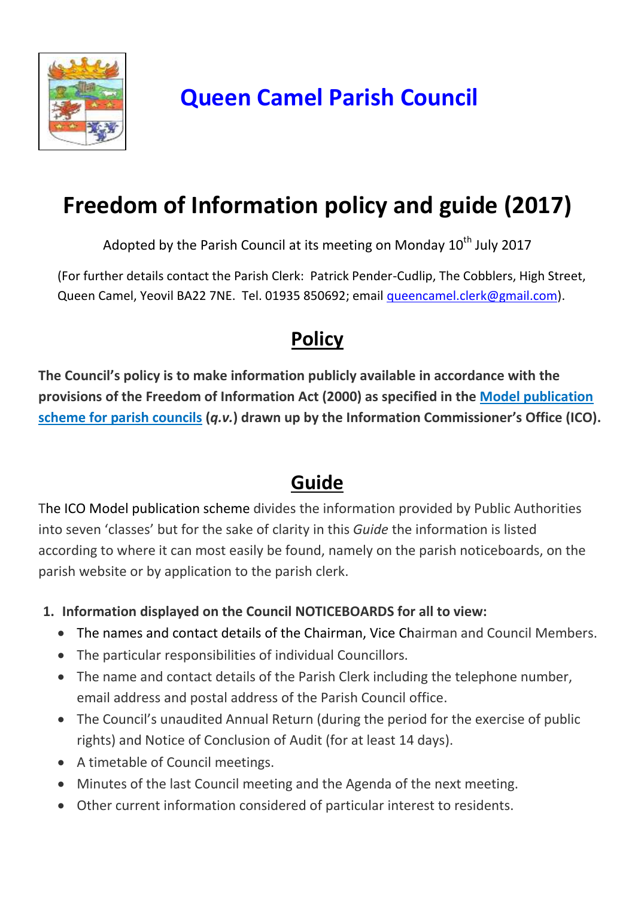

## **Queen Camel Parish Council**

# **Freedom of Information policy and guide (2017)**

Adopted by the Parish Council at its meeting on Monday  $10<sup>th</sup>$  July 2017

(For further details contact the Parish Clerk: Patrick Pender-Cudlip, The Cobblers, High Street, Queen Camel, Yeovil BA22 7NE. Tel. 01935 850692; email [queencamel.clerk@gmail.com\)](mailto:queencamel.clerk@gmail.com).

### **Policy**

**The Council's policy is to make information publicly available in accordance with the provisions of the Freedom of Information Act (2000) as specified in the Model publication scheme for parish councils (***q.v.***) drawn up by the Information Commissioner's Office (ICO).**

### **Guide**

The ICO Model publication scheme divides the information provided by Public Authorities into seven 'classes' but for the sake of clarity in this *Guide* the information is listed according to where it can most easily be found, namely on the parish noticeboards, on the parish website or by application to the parish clerk.

- **1. Information displayed on the Council NOTICEBOARDS for all to view:**
	- The names and contact details of the Chairman, Vice Chairman and Council Members.
	- The particular responsibilities of individual Councillors.
	- The name and contact details of the Parish Clerk including the telephone number, email address and postal address of the Parish Council office.
	- The Council's unaudited Annual Return (during the period for the exercise of public rights) and Notice of Conclusion of Audit (for at least 14 days).
	- A timetable of Council meetings.
	- Minutes of the last Council meeting and the Agenda of the next meeting.
	- Other current information considered of particular interest to residents.